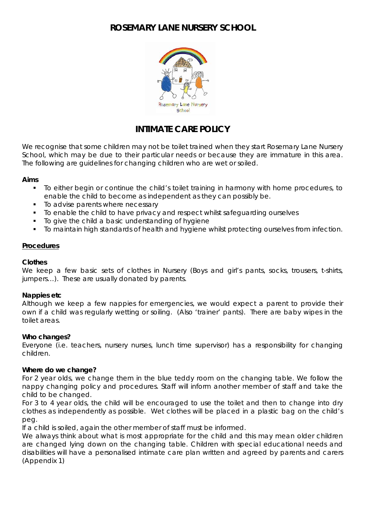## **ROSEMARY LANE NURSERY SCHOOL**



# **INTIMATE CARE POLICY**

We recognise that some children may not be toilet trained when they start Rosemary Lane Nursery School, which may be due to their particular needs or because they are immature in this area. The following are guidelines for changing children who are wet or soiled.

## **Aims**

- To either begin or continue the child's toilet training in harmony with home procedures, to enable the child to become as independent as they can possibly be.
- To advise parents where necessary
- To enable the child to have privacy and respect whilst safeguarding ourselves
- To give the child a basic understanding of hygiene
- To maintain high standards of health and hygiene whilst protecting ourselves from infection.

#### **Procedures**

#### **Clothes**

We keep a few basic sets of clothes in Nursery (Boys and girl's pants, socks, trousers, t-shirts, jumpers…). These are usually donated by parents.

#### **Nappies etc**

Although we keep a few nappies for emergencies, we would expect a parent to provide their own if a child was regularly wetting or soiling. (Also 'trainer' pants). There are baby wipes in the toilet areas.

#### **Who changes?**

Everyone (i.e. teachers, nursery nurses, lunch time supervisor) has a responsibility for changing children.

#### **Where do we change?**

For 2 year olds, we change them in the blue teddy room on the changing table. We follow the nappy changing policy and procedures. Staff will inform another member of staff and take the child to be changed.

For 3 to 4 year olds, the child will be encouraged to use the toilet and then to change into dry clothes as independently as possible. Wet clothes will be placed in a plastic bag on the child's peg.

If a child is soiled, again the other member of staff must be informed.

We always think about what is most appropriate for the child and this may mean older children are changed lying down on the changing table. Children with special educational needs and disabilities will have a personalised intimate care plan written and agreed by parents and carers (Appendix 1)